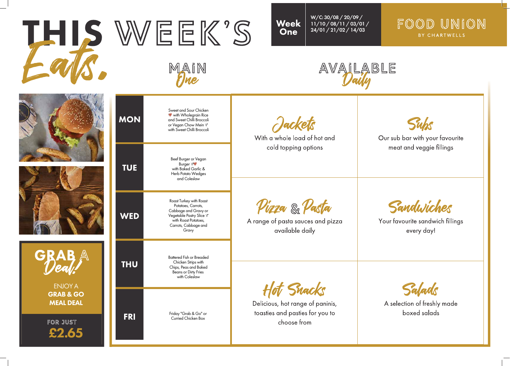

## FOOD UNION BY CHARTWELLS





Our sub bar with your favourite meat and veggie fillings

Sandwiches

Your favourite sandwich fillings every day!

Salads

A selection of freshly made boxed salads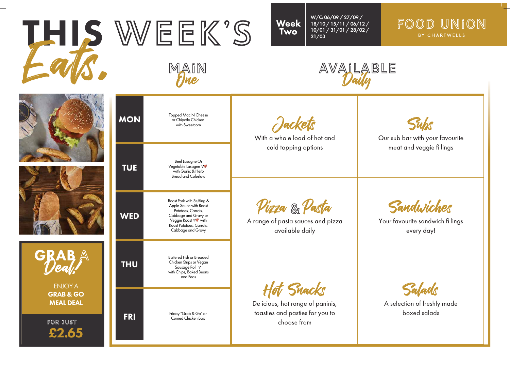

## FOOD UNION BY CHARTWELLS



Our sub bar with your favourite meat and veggie fillings

Sandwiches

Your favourite sandwich fillings every day!

Salads

A selection of freshly made boxed salads